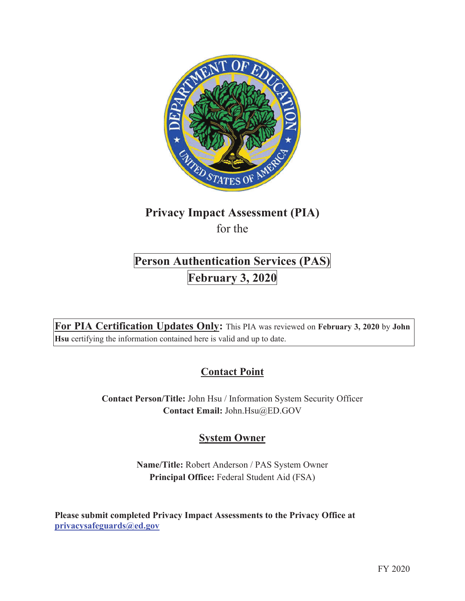

# **Privacy Impact Assessment (PIA)**  for the

# **Person Authentication Services (PAS) February 3, 2020**

**For PIA Certification Updates Only:** This PIA was reviewed on **February 3, 2020** by **John Hsu** certifying the information contained here is valid and up to date.

# **Contact Point**

**Contact Person/Title:** John Hsu / Information System Security Officer **Contact Email:** John.Hsu@ED.GOV

# **System Owner**

**Name/Title:** Robert Anderson / PAS System Owner **Principal Office:** Federal Student Aid (FSA)

**Please submit completed Privacy Impact Assessments to the Privacy Office at privacysafeguards@ed.gov**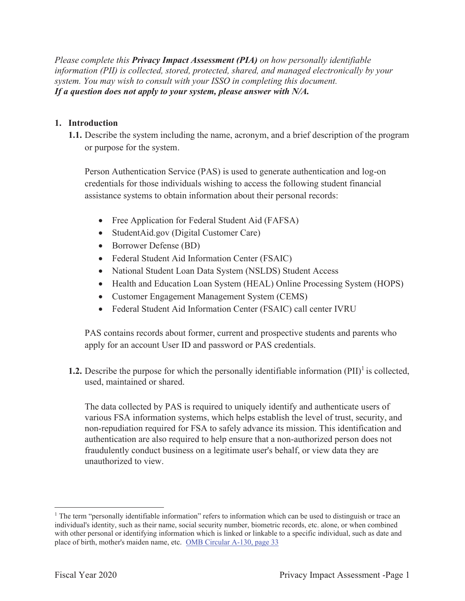*Please complete this Privacy Impact Assessment (PIA) on how personally identifiable information (PII) is collected, stored, protected, shared, and managed electronically by your system. You may wish to consult with your ISSO in completing this document. If a question does not apply to your system, please answer with N/A.*

#### **1. Introduction**

**1.1.** Describe the system including the name, acronym, and a brief description of the program or purpose for the system.

Person Authentication Service (PAS) is used to generate authentication and log-on credentials for those individuals wishing to access the following student financial assistance systems to obtain information about their personal records:

- Free Application for Federal Student Aid (FAFSA)
- StudentAid.gov (Digital Customer Care)
- Borrower Defense (BD)
- Federal Student Aid Information Center (FSAIC)
- National Student Loan Data System (NSLDS) Student Access
- Health and Education Loan System (HEAL) Online Processing System (HOPS)
- Customer Engagement Management System (CEMS)
- Federal Student Aid Information Center (FSAIC) call center IVRU

PAS contains records about former, current and prospective students and parents who apply for an account User ID and password or PAS credentials.

**1.2.** Describe the purpose for which the personally identifiable information  $(PII)^{1}$  is collected, used, maintained or shared.

The data collected by PAS is required to uniquely identify and authenticate users of various FSA information systems, which helps establish the level of trust, security, and non-repudiation required for FSA to safely advance its mission. This identification and authentication are also required to help ensure that a non-authorized person does not fraudulently conduct business on a legitimate user's behalf, or view data they are unauthorized to view.

<sup>&</sup>lt;sup>1</sup> The term "personally identifiable information" refers to information which can be used to distinguish or trace an individual's identity, such as their name, social security number, biometric records, etc. alone, or when combined with other personal or identifying information which is linked or linkable to a specific individual, such as date and place of birth, mother's maiden name, etc. OMB Circular A-130, page 33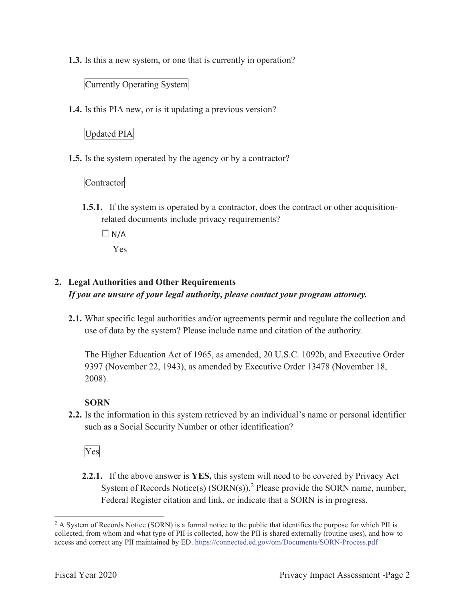**1.3.** Is this a new system, or one that is currently in operation?

#### Currently Operating System

**1.4.** Is this PIA new, or is it updating a previous version?

# Updated PIA

**1.5.** Is the system operated by the agency or by a contractor?

### Contractor

- **1.5.1.** If the system is operated by a contractor, does the contract or other acquisitionrelated documents include privacy requirements?
	- $\Box N/A$

Yes

# **2. Legal Authorities and Other Requirements**

*If you are unsure of your legal authority, please contact your program attorney.* 

**2.1.** What specific legal authorities and/or agreements permit and regulate the collection and use of data by the system? Please include name and citation of the authority.

The Higher Education Act of 1965, as amended, 20 U.S.C. 1092b, and Executive Order 9397 (November 22, 1943), as amended by Executive Order 13478 (November 18, 2008).

# **SORN**

**2.2.** Is the information in this system retrieved by an individual's name or personal identifier such as a Social Security Number or other identification?

# Yes

**2.2.1.** If the above answer is **YES,** this system will need to be covered by Privacy Act System of Records Notice(s)  $(SORN(s))$ .<sup>2</sup> Please provide the SORN name, number, Federal Register citation and link, or indicate that a SORN is in progress.

<sup>&</sup>lt;sup>2</sup> A System of Records Notice (SORN) is a formal notice to the public that identifies the purpose for which PII is collected, from whom and what type of PII is collected, how the PII is shared externally (routine uses), and how to access and correct any PII maintained by ED. https://connected.ed.gov/om/Documents/SORN-Process.pdf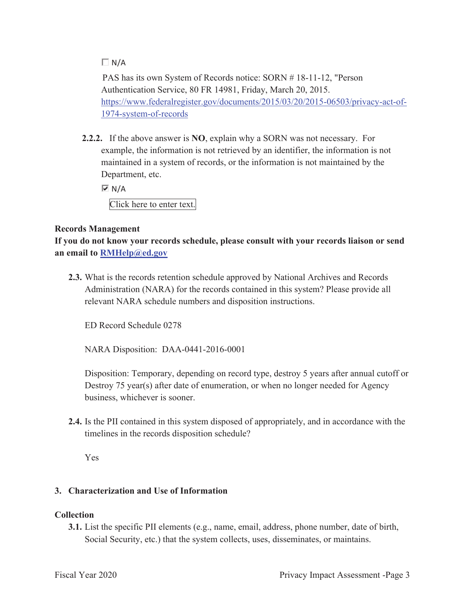## $\Box N/A$

PAS has its own System of Records notice: SORN # 18-11-12, "Person Authentication Service, 80 FR 14981, Friday, March 20, 2015. https://www.federalregister.gov/documents/2015/03/20/2015-06503/privacy-act-of-1974-system-of-records

**2.2.2.** If the above answer is **NO**, explain why a SORN was not necessary. For example, the information is not retrieved by an identifier, the information is not maintained in a system of records, or the information is not maintained by the Department, etc.

 $\overline{M}$  N/A

Click here to enter text.

#### **Records Management**

**If you do not know your records schedule, please consult with your records liaison or send an email to RMHelp@ed.gov**

**2.3.** What is the records retention schedule approved by National Archives and Records Administration (NARA) for the records contained in this system? Please provide all relevant NARA schedule numbers and disposition instructions.

ED Record Schedule 0278

NARA Disposition: DAA-0441-2016-0001

Disposition: Temporary, depending on record type, destroy 5 years after annual cutoff or Destroy 75 year(s) after date of enumeration, or when no longer needed for Agency business, whichever is sooner.

**2.4.** Is the PII contained in this system disposed of appropriately, and in accordance with the timelines in the records disposition schedule?

Yes

#### **3. Characterization and Use of Information**

#### **Collection**

**3.1.** List the specific PII elements (e.g., name, email, address, phone number, date of birth, Social Security, etc.) that the system collects, uses, disseminates, or maintains.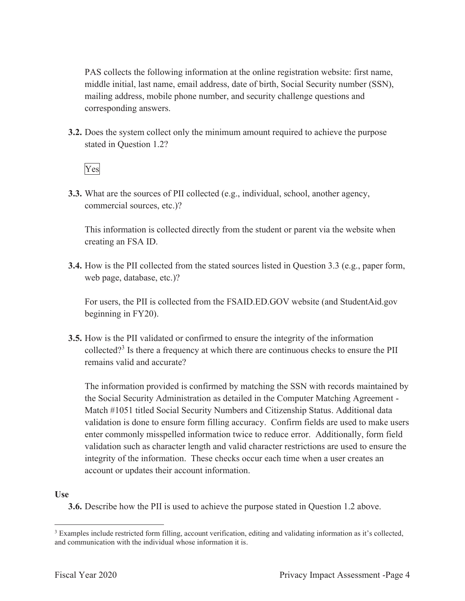PAS collects the following information at the online registration website: first name, middle initial, last name, email address, date of birth, Social Security number (SSN), mailing address, mobile phone number, and security challenge questions and corresponding answers.

**3.2.** Does the system collect only the minimum amount required to achieve the purpose stated in Question 1.2?

# Yes

**3.3.** What are the sources of PII collected (e.g., individual, school, another agency, commercial sources, etc.)?

This information is collected directly from the student or parent via the website when creating an FSA ID.

**3.4.** How is the PII collected from the stated sources listed in Question 3.3 (e.g., paper form, web page, database, etc.)?

For users, the PII is collected from the FSAID.ED.GOV website (and StudentAid.gov beginning in FY20).

**3.5.** How is the PII validated or confirmed to ensure the integrity of the information collected?<sup>3</sup> Is there a frequency at which there are continuous checks to ensure the PII remains valid and accurate?

The information provided is confirmed by matching the SSN with records maintained by the Social Security Administration as detailed in the Computer Matching Agreement - Match #1051 titled Social Security Numbers and Citizenship Status. Additional data validation is done to ensure form filling accuracy. Confirm fields are used to make users enter commonly misspelled information twice to reduce error. Additionally, form field validation such as character length and valid character restrictions are used to ensure the integrity of the information. These checks occur each time when a user creates an account or updates their account information.

#### **Use**

**3.6.** Describe how the PII is used to achieve the purpose stated in Question 1.2 above.

<sup>&</sup>lt;sup>3</sup> Examples include restricted form filling, account verification, editing and validating information as it's collected, and communication with the individual whose information it is.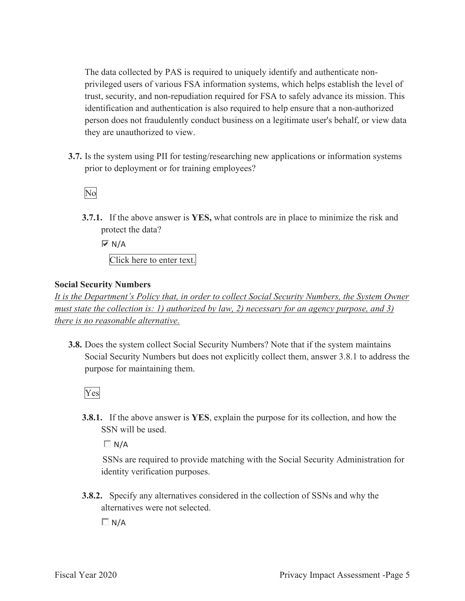The data collected by PAS is required to uniquely identify and authenticate nonprivileged users of various FSA information systems, which helps establish the level of trust, security, and non-repudiation required for FSA to safely advance its mission. This identification and authentication is also required to help ensure that a non-authorized person does not fraudulently conduct business on a legitimate user's behalf, or view data they are unauthorized to view.

**3.7.** Is the system using PII for testing/researching new applications or information systems prior to deployment or for training employees?



**3.7.1.** If the above answer is **YES,** what controls are in place to minimize the risk and protect the data?

 $\overline{M}$  N/A Click here to enter text.

#### **Social Security Numbers**

*It is the Department's Policy that, in order to collect Social Security Numbers, the System Owner must state the collection is: 1) authorized by law, 2) necessary for an agency purpose, and 3) there is no reasonable alternative.* 

**3.8.** Does the system collect Social Security Numbers? Note that if the system maintains Social Security Numbers but does not explicitly collect them, answer 3.8.1 to address the purpose for maintaining them.

Yes

**3.8.1.** If the above answer is **YES**, explain the purpose for its collection, and how the SSN will be used.

 $\Box N/A$ 

SSNs are required to provide matching with the Social Security Administration for identity verification purposes.

**3.8.2.** Specify any alternatives considered in the collection of SSNs and why the alternatives were not selected.

 $\Box N/A$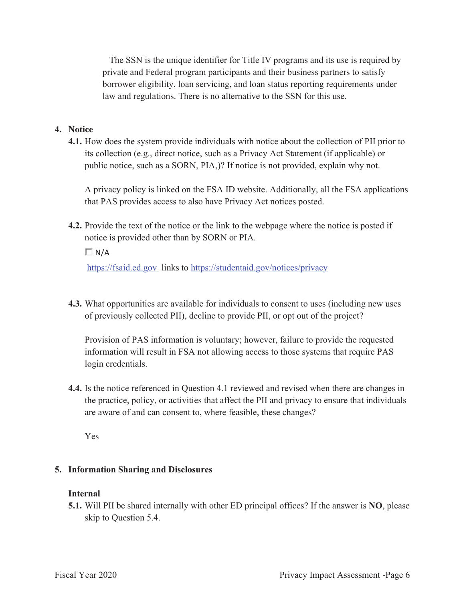The SSN is the unique identifier for Title IV programs and its use is required by private and Federal program participants and their business partners to satisfy borrower eligibility, loan servicing, and loan status reporting requirements under law and regulations. There is no alternative to the SSN for this use.

#### **4. Notice**

**4.1.** How does the system provide individuals with notice about the collection of PII prior to its collection (e.g., direct notice, such as a Privacy Act Statement (if applicable) or public notice, such as a SORN, PIA,)? If notice is not provided, explain why not.

A privacy policy is linked on the FSA ID website. Additionally, all the FSA applications that PAS provides access to also have Privacy Act notices posted.

**4.2.** Provide the text of the notice or the link to the webpage where the notice is posted if notice is provided other than by SORN or PIA.

 $\Box$  N/A

https://fsaid.ed.gov links to https://studentaid.gov/notices/privacy

**4.3.** What opportunities are available for individuals to consent to uses (including new uses of previously collected PII), decline to provide PII, or opt out of the project?

Provision of PAS information is voluntary; however, failure to provide the requested information will result in FSA not allowing access to those systems that require PAS login credentials.

**4.4.** Is the notice referenced in Question 4.1 reviewed and revised when there are changes in the practice, policy, or activities that affect the PII and privacy to ensure that individuals are aware of and can consent to, where feasible, these changes?

Yes

#### **5. Information Sharing and Disclosures**

#### **Internal**

**5.1.** Will PII be shared internally with other ED principal offices? If the answer is **NO**, please skip to Question 5.4.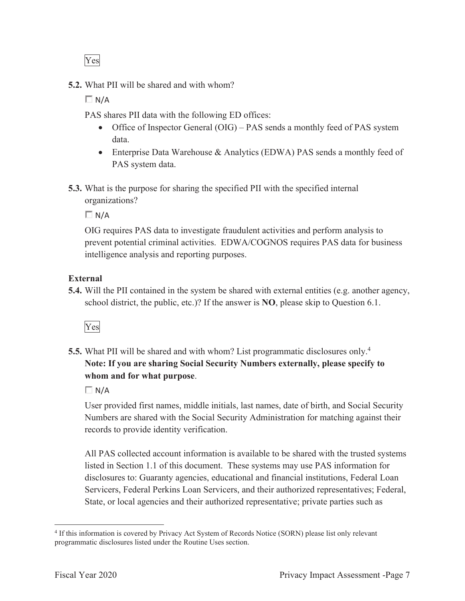Yes

**5.2.** What PII will be shared and with whom?

 $\Box N/A$ 

PAS shares PII data with the following ED offices:

- Office of Inspector General (OIG) PAS sends a monthly feed of PAS system data.
- Enterprise Data Warehouse & Analytics (EDWA) PAS sends a monthly feed of PAS system data.
- **5.3.** What is the purpose for sharing the specified PII with the specified internal organizations?

 $\Box$  N/A

OIG requires PAS data to investigate fraudulent activities and perform analysis to prevent potential criminal activities. EDWA/COGNOS requires PAS data for business intelligence analysis and reporting purposes.

# **External**

**5.4.** Will the PII contained in the system be shared with external entities (e.g. another agency, school district, the public, etc.)? If the answer is **NO**, please skip to Question 6.1.



**5.5.** What PII will be shared and with whom? List programmatic disclosures only.<sup>4</sup> **Note: If you are sharing Social Security Numbers externally, please specify to whom and for what purpose**.

 $\Box$  N/A

User provided first names, middle initials, last names, date of birth, and Social Security Numbers are shared with the Social Security Administration for matching against their records to provide identity verification.

All PAS collected account information is available to be shared with the trusted systems listed in Section 1.1 of this document. These systems may use PAS information for disclosures to: Guaranty agencies, educational and financial institutions, Federal Loan Servicers, Federal Perkins Loan Servicers, and their authorized representatives; Federal, State, or local agencies and their authorized representative; private parties such as

<sup>4</sup> If this information is covered by Privacy Act System of Records Notice (SORN) please list only relevant programmatic disclosures listed under the Routine Uses section.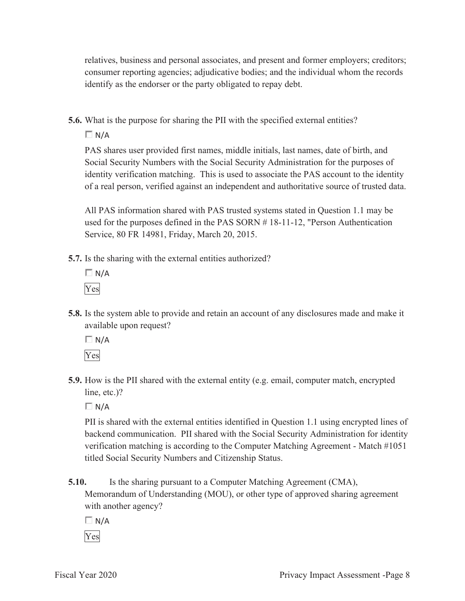relatives, business and personal associates, and present and former employers; creditors; consumer reporting agencies; adjudicative bodies; and the individual whom the records identify as the endorser or the party obligated to repay debt.

**5.6.** What is the purpose for sharing the PII with the specified external entities?

 $\Box N/A$ 

PAS shares user provided first names, middle initials, last names, date of birth, and Social Security Numbers with the Social Security Administration for the purposes of identity verification matching. This is used to associate the PAS account to the identity of a real person, verified against an independent and authoritative source of trusted data.

All PAS information shared with PAS trusted systems stated in Question 1.1 may be used for the purposes defined in the PAS SORN # 18-11-12, "Person Authentication Service, 80 FR 14981, Friday, March 20, 2015.

- **5.7.** Is the sharing with the external entities authorized?
	- $\Box$  N/A Yes
- **5.8.** Is the system able to provide and retain an account of any disclosures made and make it available upon request?

 $\Box N/A$ Yes

**5.9.** How is the PII shared with the external entity (e.g. email, computer match, encrypted line, etc.)?

 $\Box N/A$ 

PII is shared with the external entities identified in Question 1.1 using encrypted lines of backend communication. PII shared with the Social Security Administration for identity verification matching is according to the Computer Matching Agreement - Match #1051 titled Social Security Numbers and Citizenship Status.

**5.10.** Is the sharing pursuant to a Computer Matching Agreement (CMA),

Memorandum of Understanding (MOU), or other type of approved sharing agreement with another agency?

 $\Box$  N/A

Yes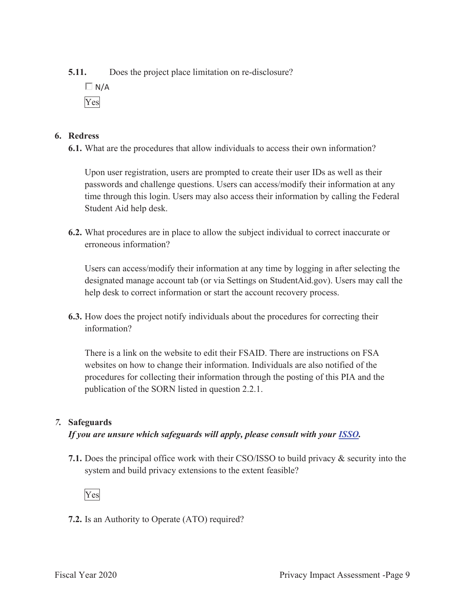**5.11.** Does the project place limitation on re-disclosure?

 $\Box$  N/A Yes

#### **6. Redress**

**6.1.** What are the procedures that allow individuals to access their own information?

Upon user registration, users are prompted to create their user IDs as well as their passwords and challenge questions. Users can access/modify their information at any time through this login. Users may also access their information by calling the Federal Student Aid help desk.

**6.2.** What procedures are in place to allow the subject individual to correct inaccurate or erroneous information?

Users can access/modify their information at any time by logging in after selecting the designated manage account tab (or via Settings on StudentAid.gov). Users may call the help desk to correct information or start the account recovery process.

**6.3.** How does the project notify individuals about the procedures for correcting their information?

There is a link on the website to edit their FSAID. There are instructions on FSA websites on how to change their information. Individuals are also notified of the procedures for collecting their information through the posting of this PIA and the publication of the SORN listed in question 2.2.1.

# *7.* **Safeguards**

*If you are unsure which safeguards will apply, please consult with your ISSO.* 

**7.1.** Does the principal office work with their CSO/ISSO to build privacy & security into the system and build privacy extensions to the extent feasible?



**7.2.** Is an Authority to Operate (ATO) required?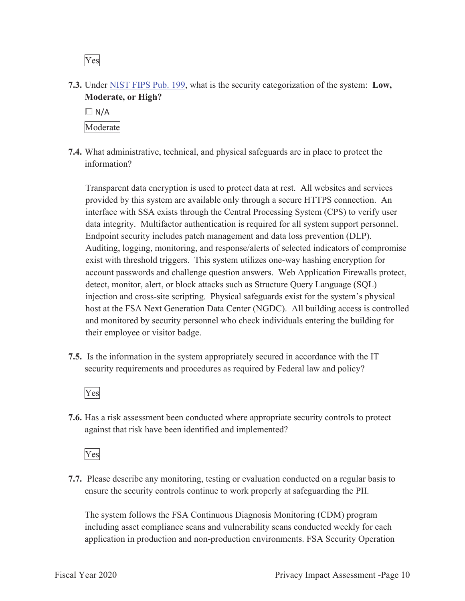Yes

**7.3.** Under NIST FIPS Pub. 199, what is the security categorization of the system: **Low, Moderate, or High?** 



**7.4.** What administrative, technical, and physical safeguards are in place to protect the information?

Transparent data encryption is used to protect data at rest. All websites and services provided by this system are available only through a secure HTTPS connection. An interface with SSA exists through the Central Processing System (CPS) to verify user data integrity. Multifactor authentication is required for all system support personnel. Endpoint security includes patch management and data loss prevention (DLP). Auditing, logging, monitoring, and response/alerts of selected indicators of compromise exist with threshold triggers. This system utilizes one-way hashing encryption for account passwords and challenge question answers. Web Application Firewalls protect, detect, monitor, alert, or block attacks such as Structure Query Language (SQL) injection and cross-site scripting. Physical safeguards exist for the system's physical host at the FSA Next Generation Data Center (NGDC). All building access is controlled and monitored by security personnel who check individuals entering the building for their employee or visitor badge.

**7.5.** Is the information in the system appropriately secured in accordance with the IT security requirements and procedures as required by Federal law and policy?

Yes

**7.6.** Has a risk assessment been conducted where appropriate security controls to protect against that risk have been identified and implemented?

Yes

**7.7.** Please describe any monitoring, testing or evaluation conducted on a regular basis to ensure the security controls continue to work properly at safeguarding the PII.

The system follows the FSA Continuous Diagnosis Monitoring (CDM) program including asset compliance scans and vulnerability scans conducted weekly for each application in production and non-production environments. FSA Security Operation